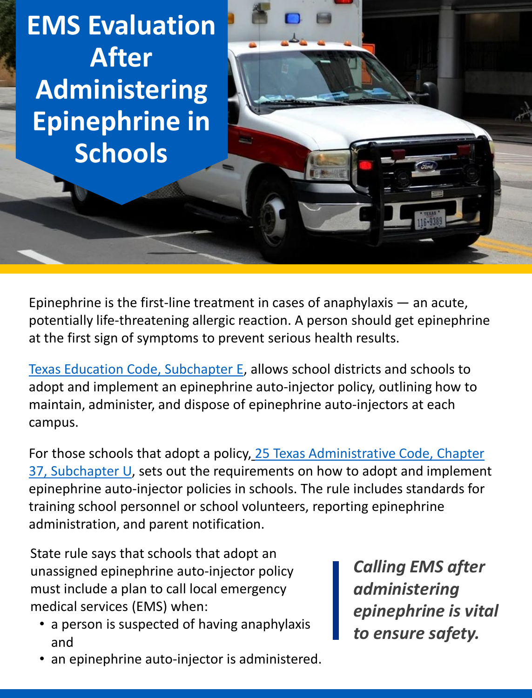**EMS Evaluation After Administering Epinephrine in Schools** 

 potentially life-threatening allergic reaction. A person should get epinephrine at the first sign of symptoms to prevent serious health results. Epinephrine is the first-line treatment in cases of anaphylaxis — an acute,

 [Texas Education Code, Subchapter E,](https://statutes.capitol.texas.gov/Docs/ED/htm/ED.38.htm#e) allows school districts and schools to adopt and implement an epinephrine auto-injector policy, outlining how to maintain, administer, and dispose of epinephrine auto-injectors at each campus.

For those schools that adopt a policy, 25 Texas Administrative Code, Chapter [37, Subchapter U, sets out the requirements on how to adopt and implemen](https://texreg.sos.state.tx.us/public/readtac$ext.ViewTAC?tac_view=5&ti=25&pt=1&ch=37&sch=U&rl=Y)t epinephrine auto-injector policies in schools. The rule includes standards for training school personnel or school volunteers, reporting epinephrine administration, and parent notification.

 State rule says that schools that adopt an medical services (EMS) when: unassigned epinephrine auto-injector policy must include a plan to call local emergency

- • a person is suspected of having anaphylaxis and
- an epinephrine auto-injector is administered.

 *Calling EMS after epinephrine is vital administering to ensure safety.*